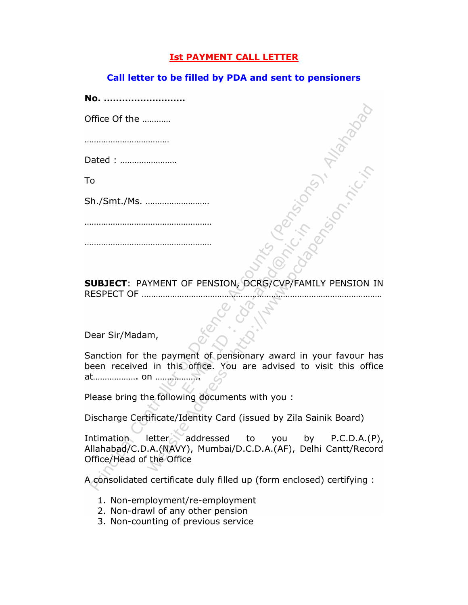## Ist PAYMENT CALL LETTER

## Call letter to be filled by PDA and sent to pensioners

| No.           |  |
|---------------|--|
| Office Of the |  |
|               |  |
| Dated :       |  |
| To            |  |
| Sh./Smt./Ms.  |  |
|               |  |
|               |  |
|               |  |

SUBJECT: PAYMENT OF PENSION, DCRG/CVP/FAMILY PENSION IN RESPECT OF …………………………………………………………………………………………

## Dear Sir/Madam,

Sanction for the payment of pensionary award in your favour has been received in this office. You are advised to visit this office at………………. on ……………….

Please bring the following documents with you :

Discharge Certificate/Identity Card (issued by Zila Sainik Board)

Intimation letter addressed to you by P.C.D.A.(P), Allahabad/C.D.A.(NAVY), Mumbai/D.C.D.A.(AF), Delhi Cantt/Record Office/Head of the Office

A consolidated certificate duly filled up (form enclosed) certifying :

- 1. Non-employment/re-employment
- 2. Non-drawl of any other pension
- 3. Non-counting of previous service